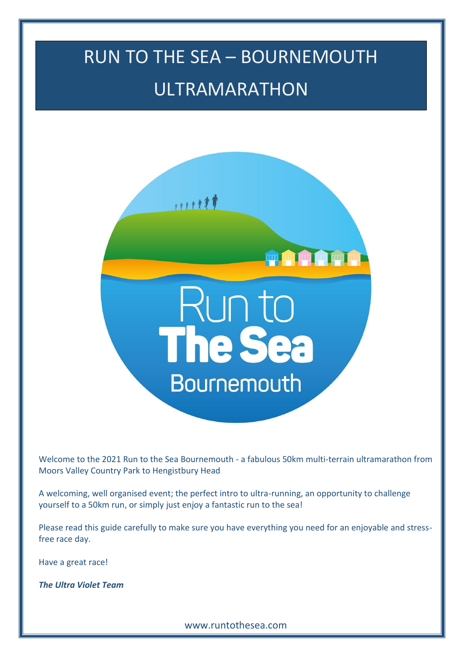# RUN TO THE SEA – BOURNEMOUTH ULTRAMARATHON



Welcome to the 2021 Run to the Sea Bournemouth - a fabulous 50km multi-terrain ultramarathon from Moors Valley Country Park to Hengistbury Head

A welcoming, well organised event; the perfect intro to ultra-running, an opportunity to challenge yourself to a 50km run, or simply just enjoy a fantastic run to the sea!

Please read this guide carefully to make sure you have everything you need for an enjoyable and stressfree race day.

Have a great race!

*The Ultra Violet Team*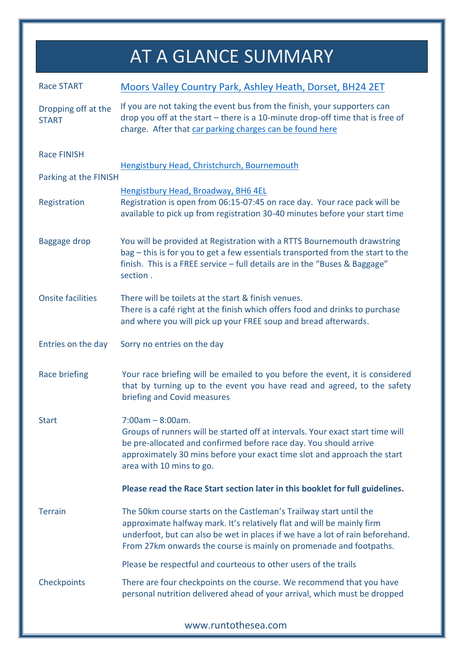## AT A GLANCE SUMMARY

| <b>Race START</b>                   | Moors Valley Country Park, Ashley Heath, Dorset, BH24 2ET                                                                                                                                                                                                                                           |
|-------------------------------------|-----------------------------------------------------------------------------------------------------------------------------------------------------------------------------------------------------------------------------------------------------------------------------------------------------|
| Dropping off at the<br><b>START</b> | If you are not taking the event bus from the finish, your supporters can<br>drop you off at the start $-$ there is a 10-minute drop-off time that is free of<br>charge. After that car parking charges can be found here                                                                            |
| <b>Race FINISH</b>                  | Hengistbury Head, Christchurch, Bournemouth                                                                                                                                                                                                                                                         |
| Parking at the FINISH               |                                                                                                                                                                                                                                                                                                     |
| Registration                        | Hengistbury Head, Broadway, BH6 4EL<br>Registration is open from 06:15-07:45 on race day. Your race pack will be<br>available to pick up from registration 30-40 minutes before your start time                                                                                                     |
| <b>Baggage drop</b>                 | You will be provided at Registration with a RTTS Bournemouth drawstring<br>bag - this is for you to get a few essentials transported from the start to the<br>finish. This is a FREE service - full details are in the "Buses & Baggage"<br>section.                                                |
| <b>Onsite facilities</b>            | There will be toilets at the start & finish venues.<br>There is a café right at the finish which offers food and drinks to purchase<br>and where you will pick up your FREE soup and bread afterwards.                                                                                              |
| Entries on the day                  | Sorry no entries on the day                                                                                                                                                                                                                                                                         |
| Race briefing                       | Your race briefing will be emailed to you before the event, it is considered<br>that by turning up to the event you have read and agreed, to the safety<br>briefing and Covid measures                                                                                                              |
| <b>Start</b>                        | $7:00am - 8:00am$ .<br>Groups of runners will be started off at intervals. Your exact start time will<br>be pre-allocated and confirmed before race day. You should arrive<br>approximately 30 mins before your exact time slot and approach the start<br>area with 10 mins to go.                  |
|                                     | Please read the Race Start section later in this booklet for full guidelines.                                                                                                                                                                                                                       |
| <b>Terrain</b>                      | The 50km course starts on the Castleman's Trailway start until the<br>approximate halfway mark. It's relatively flat and will be mainly firm<br>underfoot, but can also be wet in places if we have a lot of rain beforehand.<br>From 27km onwards the course is mainly on promenade and footpaths. |
|                                     | Please be respectful and courteous to other users of the trails                                                                                                                                                                                                                                     |
| Checkpoints                         | There are four checkpoints on the course. We recommend that you have<br>personal nutrition delivered ahead of your arrival, which must be dropped                                                                                                                                                   |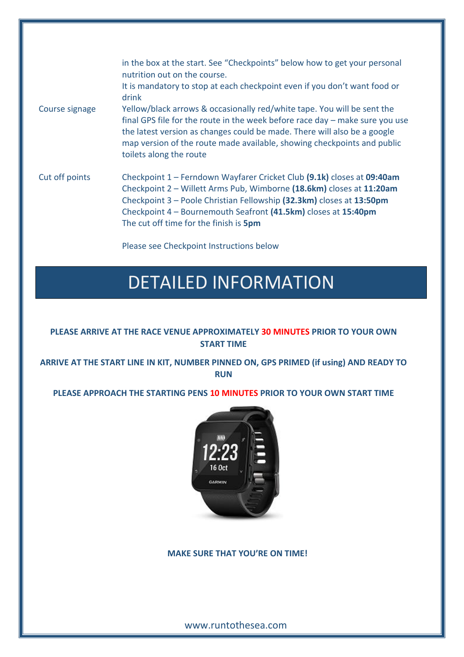| Course signage | in the box at the start. See "Checkpoints" below how to get your personal<br>nutrition out on the course.<br>It is mandatory to stop at each checkpoint even if you don't want food or<br>drink<br>Yellow/black arrows & occasionally red/white tape. You will be sent the<br>final GPS file for the route in the week before race day - make sure you use<br>the latest version as changes could be made. There will also be a google<br>map version of the route made available, showing checkpoints and public<br>toilets along the route |
|----------------|----------------------------------------------------------------------------------------------------------------------------------------------------------------------------------------------------------------------------------------------------------------------------------------------------------------------------------------------------------------------------------------------------------------------------------------------------------------------------------------------------------------------------------------------|
| Cut off points | Checkpoint 1 - Ferndown Wayfarer Cricket Club (9.1k) closes at 09:40am<br>Checkpoint 2 – Willett Arms Pub, Wimborne (18.6km) closes at 11:20am<br>Checkpoint 3 - Poole Christian Fellowship (32.3km) closes at 13:50pm<br>Checkpoint 4 - Bournemouth Seafront (41.5km) closes at 15:40pm<br>The cut off time for the finish is 5pm<br>Please see Checkpoint Instructions below                                                                                                                                                               |

### DETAILED INFORMATION

#### **PLEASE ARRIVE AT THE RACE VENUE APPROXIMATELY 30 MINUTES PRIOR TO YOUR OWN START TIME**

**ARRIVE AT THE START LINE IN KIT, NUMBER PINNED ON, GPS PRIMED (if using) AND READY TO RUN**

**PLEASE APPROACH THE STARTING PENS 10 MINUTES PRIOR TO YOUR OWN START TIME**



#### **MAKE SURE THAT YOU'RE ON TIME!**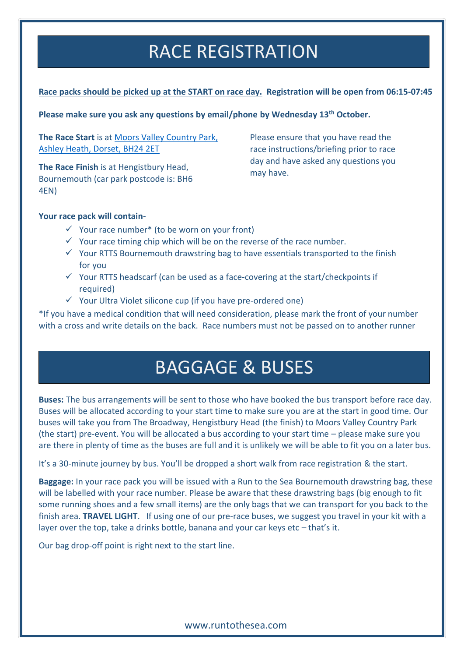### RACE REGISTRATION

#### **Race packs should be picked up at the START on race day. Registration will be open from 06:15-07:45**

**Please make sure you ask any questions by email/phone by Wednesday 13th October.** 

**The Race Start** is at [Moors Valley Country Park,](https://www.moors-valley.co.uk/visitor-information/contact-us/)  [Ashley Heath, Dorset, BH24 2ET](https://www.moors-valley.co.uk/visitor-information/contact-us/)

**The Race Finish** is at Hengistbury Head, Bournemouth (car park postcode is: BH6 4EN)

Please ensure that you have read the race instructions/briefing prior to race day and have asked any questions you may have.

#### **Your race pack will contain-**

- $\checkmark$  Your race number<sup>\*</sup> (to be worn on your front)
- $\checkmark$  Your race timing chip which will be on the reverse of the race number.
- ✓ Your RTTS Bournemouth drawstring bag to have essentials transported to the finish for you
- $\checkmark$  Your RTTS headscarf (can be used as a face-covering at the start/checkpoints if required)
- $\checkmark$  Your Ultra Violet silicone cup (if you have pre-ordered one)

\*If you have a medical condition that will need consideration, please mark the front of your number with a cross and write details on the back. Race numbers must not be passed on to another runner

### BAGGAGE & BUSES

**Buses:** The bus arrangements will be sent to those who have booked the bus transport before race day. Buses will be allocated according to your start time to make sure you are at the start in good time. Our buses will take you from The Broadway, Hengistbury Head (the finish) to Moors Valley Country Park (the start) pre-event. You will be allocated a bus according to your start time – please make sure you are there in plenty of time as the buses are full and it is unlikely we will be able to fit you on a later bus.

It's a 30-minute journey by bus. You'll be dropped a short walk from race registration & the start.

**Baggage:** In your race pack you will be issued with a Run to the Sea Bournemouth drawstring bag, these will be labelled with your race number. Please be aware that these drawstring bags (big enough to fit some running shoes and a few small items) are the only bags that we can transport for you back to the finish area. **TRAVEL LIGHT**. If using one of our pre-race buses, we suggest you travel in your kit with a layer over the top, take a drinks bottle, banana and your car keys etc – that's it.

Our bag drop-off point is right next to the start line.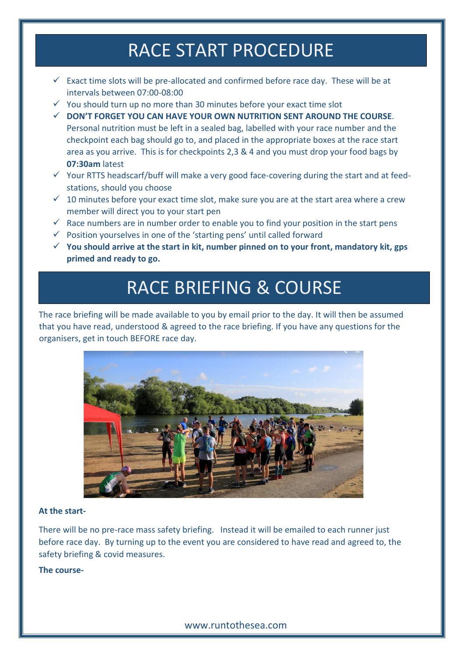### RACE START PROCEDURE

- $\checkmark$  Exact time slots will be pre-allocated and confirmed before race day. These will be at intervals between 07:00-08:00
- $\checkmark$  You should turn up no more than 30 minutes before your exact time slot
- ✓ **DON'T FORGET YOU CAN HAVE YOUR OWN NUTRITION SENT AROUND THE COURSE**. Personal nutrition must be left in a sealed bag, labelled with your race number and the checkpoint each bag should go to, and placed in the appropriate boxes at the race start area as you arrive. This is for checkpoints 2,3 & 4 and you must drop your food bags by **07:30am** latest
- $\checkmark$  Your RTTS headscarf/buff will make a very good face-covering during the start and at feedstations, should you choose
- $\checkmark$  10 minutes before your exact time slot, make sure you are at the start area where a crew member will direct you to your start pen
- $\checkmark$  Race numbers are in number order to enable you to find your position in the start pens
- $\checkmark$  Position yourselves in one of the 'starting pens' until called forward
- ✓ **You should arrive at the start in kit, number pinned on to your front, mandatory kit, gps primed and ready to go.**

### RACE BRIEFING & COURSE

The race briefing will be made available to you by email prior to the day. It will then be assumed that you have read, understood & agreed to the race briefing. If you have any questions for the organisers, get in touch BEFORE race day.



#### **At the start-**

There will be no pre-race mass safety briefing. Instead it will be emailed to each runner just before race day. By turning up to the event you are considered to have read and agreed to, the safety briefing & covid measures.

#### **The course-**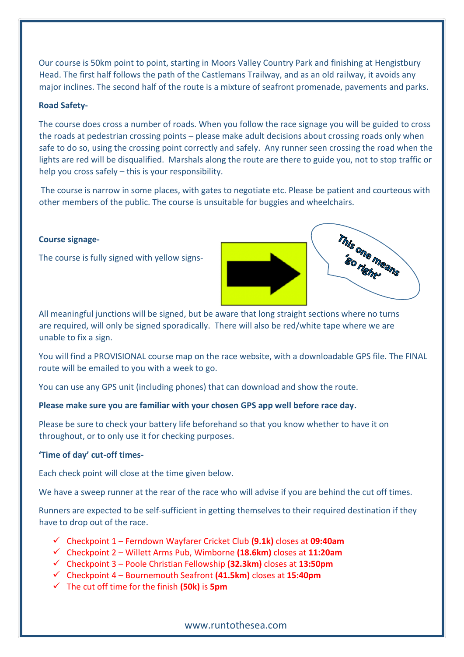Our course is 50km point to point, starting in Moors Valley Country Park and finishing at Hengistbury Head. The first half follows the path of the Castlemans Trailway, and as an old railway, it avoids any major inclines. The second half of the route is a mixture of seafront promenade, pavements and parks.

#### **Road Safety-**

The course does cross a number of roads. When you follow the race signage you will be guided to cross the roads at pedestrian crossing points – please make adult decisions about crossing roads only when safe to do so, using the crossing point correctly and safely. Any runner seen crossing the road when the lights are red will be disqualified. Marshals along the route are there to guide you, not to stop traffic or help you cross safely – this is your responsibility.

The course is narrow in some places, with gates to negotiate etc. Please be patient and courteous with other members of the public. The course is unsuitable for buggies and wheelchairs.

#### **Course signage-**

The course is fully signed with yellow signs-



All meaningful junctions will be signed, but be aware that long straight sections where no turns are required, will only be signed sporadically. There will also be red/white tape where we are unable to fix a sign.

You will find a PROVISIONAL course map on the race website, with a downloadable GPS file. The FINAL route will be emailed to you with a week to go.

You can use any GPS unit (including phones) that can download and show the route.

#### **Please make sure you are familiar with your chosen GPS app well before race day.**

Please be sure to check your battery life beforehand so that you know whether to have it on throughout, or to only use it for checking purposes.

#### **'Time of day' cut-off times-**

Each check point will close at the time given below.

We have a sweep runner at the rear of the race who will advise if you are behind the cut off times.

Runners are expected to be self-sufficient in getting themselves to their required destination if they have to drop out of the race.

- ✓ Checkpoint 1 Ferndown Wayfarer Cricket Club **(9.1k)** closes at **09:40am**
- ✓ Checkpoint 2 Willett Arms Pub, Wimborne **(18.6km)** closes at **11:20am**
- ✓ Checkpoint 3 Poole Christian Fellowship **(32.3km)** closes at **13:50pm**
- ✓ Checkpoint 4 Bournemouth Seafront **(41.5km)** closes at **15:40pm**
- ✓ The cut off time for the finish **(50k)** is **5pm**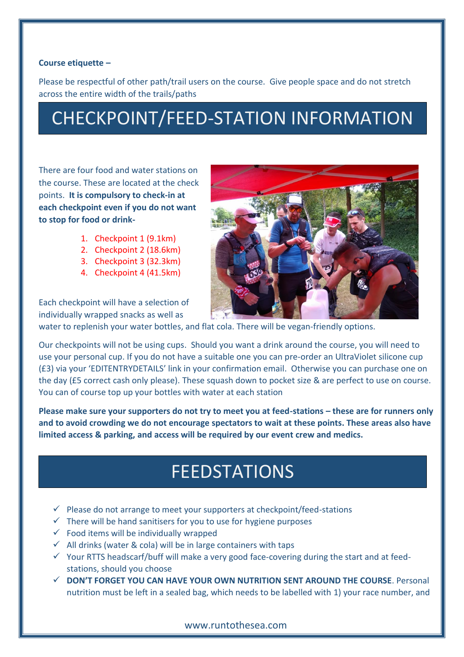#### **Course etiquette –**

Please be respectful of other path/trail users on the course. Give people space and do not stretch across the entire width of the trails/paths

# CHECKPOINT/FEED-STATION INFORMATION

There are four food and water stations on the course. These are located at the check points. **It is compulsory to check-in at each checkpoint even if you do not want to stop for food or drink-**

- 1. Checkpoint 1 (9.1km)
- 2. Checkpoint 2 (18.6km)
- 3. Checkpoint 3 (32.3km)
- 4. Checkpoint 4 (41.5km)



Each checkpoint will have a selection of individually wrapped snacks as well as

water to replenish your water bottles, and flat cola. There will be vegan-friendly options.

Our checkpoints will not be using cups. Should you want a drink around the course, you will need to use your personal cup. If you do not have a suitable one you can pre-order an UltraViolet silicone cup (£3) via your 'EDITENTRYDETAILS' link in your confirmation email. Otherwise you can purchase one on the day (£5 correct cash only please). These squash down to pocket size & are perfect to use on course. You can of course top up your bottles with water at each station

**Please make sure your supporters do not try to meet you at feed-stations – these are for runners only and to avoid crowding we do not encourage spectators to wait at these points. These areas also have limited access & parking, and access will be required by our event crew and medics.**

### FEEDSTATIONS

- $\checkmark$  Please do not arrange to meet your supporters at checkpoint/feed-stations
- $\checkmark$  There will be hand sanitisers for you to use for hygiene purposes
- $\checkmark$  Food items will be individually wrapped
- $\checkmark$  All drinks (water & cola) will be in large containers with taps
- $\checkmark$  Your RTTS headscarf/buff will make a very good face-covering during the start and at feedstations, should you choose
- ✓ **DON'T FORGET YOU CAN HAVE YOUR OWN NUTRITION SENT AROUND THE COURSE**. Personal nutrition must be left in a sealed bag, which needs to be labelled with 1) your race number, and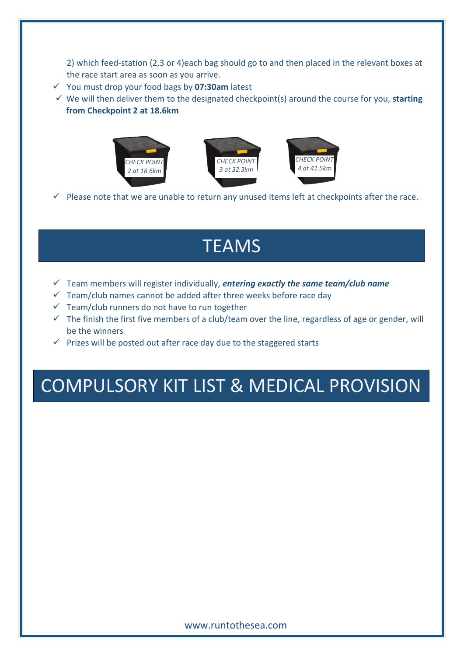2) which feed-station (2,3 or 4)each bag should go to and then placed in the relevant boxes at the race start area as soon as you arrive.

- ✓ You must drop your food bags by **07:30am** latest
- ✓ We will then deliver them to the designated checkpoint(s) around the course for you, **starting from Checkpoint 2 at 18.6km**



 $\checkmark$  Please note that we are unable to return any unused items left at checkpoints after the race.

### **TEAMS**

- ✓ Team members will register individually, *entering exactly the same team/club name*
- $\checkmark$  Team/club names cannot be added after three weeks before race day
- $\checkmark$  Team/club runners do not have to run together
- $\checkmark$  The finish the first five members of a club/team over the line, regardless of age or gender, will be the winners
- $\checkmark$  Prizes will be posted out after race day due to the staggered starts

### COMPULSORY KIT LIST & MEDICAL PROVISION